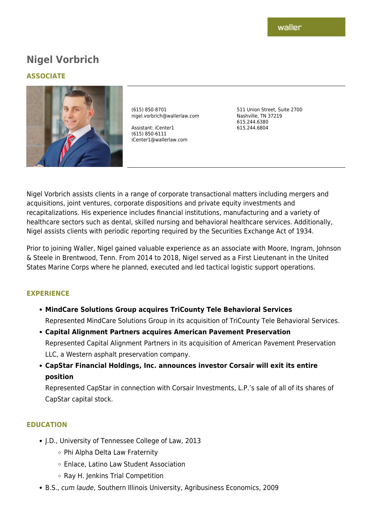# **Nigel Vorbrich**

## **ASSOCIATE**



(615) 850-8701 nigel.vorbrich@wallerlaw.com

Assistant: iCenter1 (615) 850-6111 iCenter1@wallerlaw.com 511 Union Street, Suite 2700 Nashville, TN 37219 615.244.6380 615.244.6804

Nigel Vorbrich assists clients in a range of corporate transactional matters including mergers and acquisitions, joint ventures, corporate dispositions and private equity investments and recapitalizations. His experience includes financial institutions, manufacturing and a variety of healthcare sectors such as dental, skilled nursing and behavioral healthcare services. Additionally, Nigel assists clients with periodic reporting required by the Securities Exchange Act of 1934.

Prior to joining Waller, Nigel gained valuable experience as an associate with Moore, Ingram, Johnson & Steele in Brentwood, Tenn. From 2014 to 2018, Nigel served as a First Lieutenant in the United States Marine Corps where he planned, executed and led tactical logistic support operations.

## **EXPERIENCE**

- **MindCare Solutions Group acquires TriCounty Tele Behavioral Services** Represented MindCare Solutions Group in its acquisition of TriCounty Tele Behavioral Services.
- **Capital Alignment Partners acquires American Pavement Preservation** Represented Capital Alignment Partners in its acquisition of American Pavement Preservation LLC, a Western asphalt preservation company.
- **CapStar Financial Holdings, Inc. announces investor Corsair will exit its entire position**

Represented CapStar in connection with Corsair Investments, L.P.'s sale of all of its shares of CapStar capital stock.

## **EDUCATION**

- J.D., University of Tennessee College of Law, 2013
	- Phi Alpha Delta Law Fraternity
	- Enlace, Latino Law Student Association
	- Ray H. Jenkins Trial Competition
- B.S., cum laude, Southern Illinois University, Agribusiness Economics, 2009